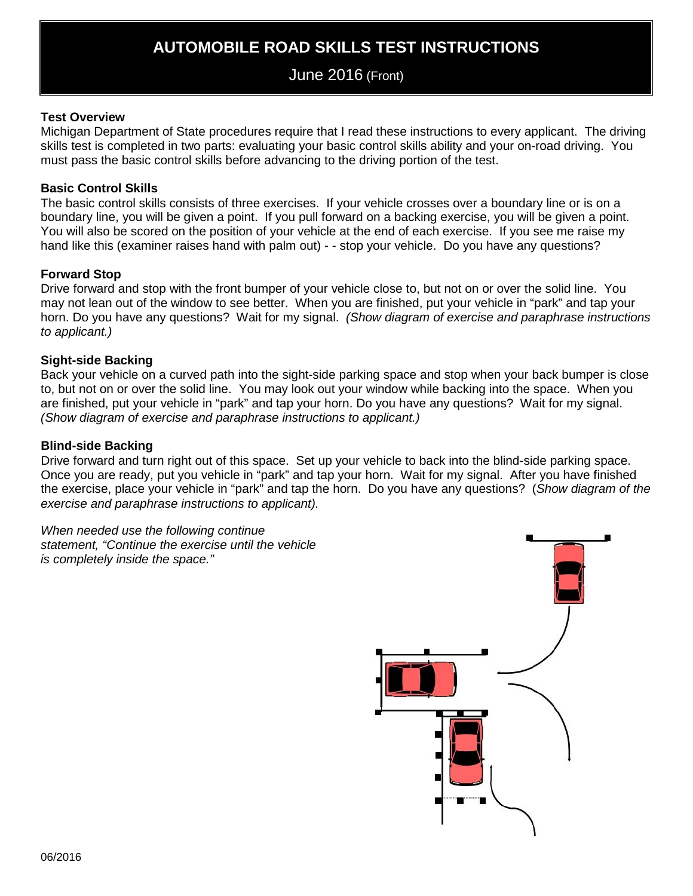# **AUTOMOBILE ROAD SKILLS TEST INSTRUCTIONS**

# June 2016 (Front)

### **Test Overview**

Michigan Department of State procedures require that I read these instructions to every applicant. The driving skills test is completed in two parts: evaluating your basic control skills ability and your on-road driving. You must pass the basic control skills before advancing to the driving portion of the test.

#### **Basic Control Skills**

The basic control skills consists of three exercises. If your vehicle crosses over a boundary line or is on a boundary line, you will be given a point. If you pull forward on a backing exercise, you will be given a point. You will also be scored on the position of your vehicle at the end of each exercise. If you see me raise my hand like this (examiner raises hand with palm out) - - stop your vehicle. Do you have any questions?

### **Forward Stop**

Drive forward and stop with the front bumper of your vehicle close to, but not on or over the solid line. You may not lean out of the window to see better. When you are finished, put your vehicle in "park" and tap your horn. Do you have any questions? Wait for my signal. *(Show diagram of exercise and paraphrase instructions to applicant.)*

### **Sight-side Backing**

Back your vehicle on a curved path into the sight-side parking space and stop when your back bumper is close to, but not on or over the solid line. You may look out your window while backing into the space. When you are finished, put your vehicle in "park" and tap your horn. Do you have any questions? Wait for my signal. *(Show diagram of exercise and paraphrase instructions to applicant.)*

#### **Blind-side Backing**

Drive forward and turn right out of this space. Set up your vehicle to back into the blind-side parking space. Once you are ready, put you vehicle in "park" and tap your horn. Wait for my signal. After you have finished the exercise, place your vehicle in "park" and tap the horn. Do you have any questions? (*Show diagram of the exercise and paraphrase instructions to applicant).*

*When needed use the following continue statement, "Continue the exercise until the vehicle is completely inside the space."*